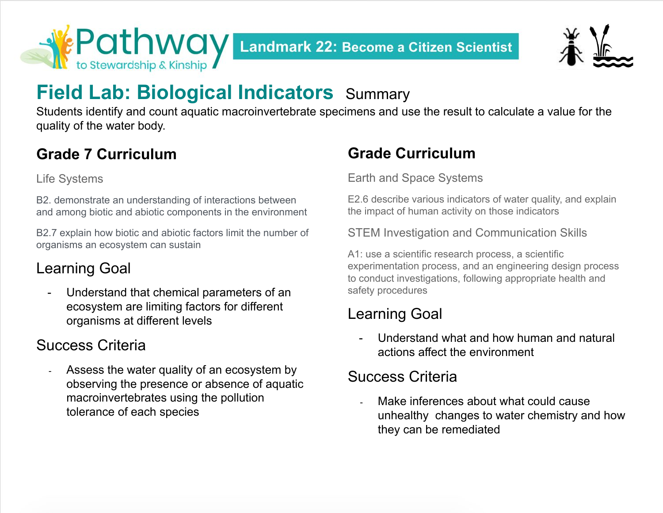



# **Field Lab: Biological Indicators** Summary

Students identify and count aquatic macroinvertebrate specimens and use the result to calculate a value for the quality of the water body.

## **Grade 7 Curriculum**

Life Systems

B2. demonstrate an understanding of interactions between and among biotic and abiotic components in the environment

B2.7 explain how biotic and abiotic factors limit the number of organisms an ecosystem can sustain

## Learning Goal

- Understand that chemical parameters of an ecosystem are limiting factors for different organisms at different levels

#### Success Criteria

- Assess the water quality of an ecosystem by observing the presence or absence of aquatic macroinvertebrates using the pollution tolerance of each species

## **Grade Curriculum**

Earth and Space Systems

E2.6 describe various indicators of water quality, and explain the impact of human activity on those indicators

STEM Investigation and Communication Skills

A1: use a [scientific research process, a scientific](https://www.dcp.edu.gov.on.ca/en/curriculum/science-technology/context/processes#scientific-processes) [experimentation process,](https://www.dcp.edu.gov.on.ca/en/curriculum/science-technology/context/processes#scientific-processes) and an [engineering design process](https://www.dcp.edu.gov.on.ca/en/curriculum/science-technology/context/processes#engineering-design-process) to conduct investigations, following appropriate health and safety procedures

## Learning Goal

- Understand what and how human and natural actions affect the environment

## Success Criteria

Make inferences about what could cause unhealthy changes to water chemistry and how they can be remediated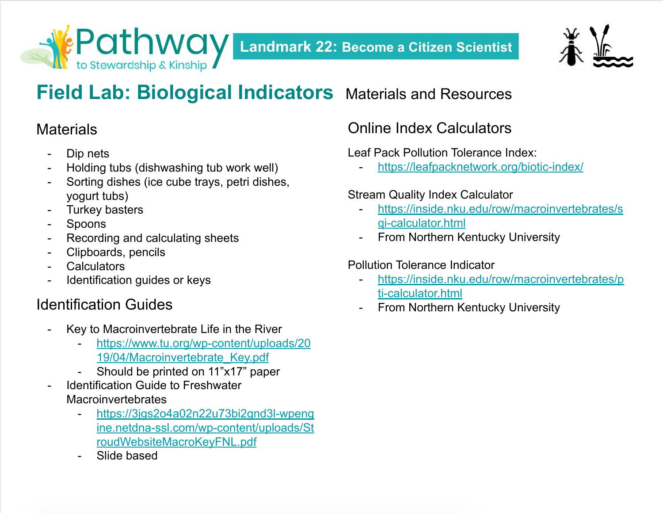



# **Field Lab: Biological Indicators** Materials and Resources

#### **Materials**

- Dip nets
- Holding tubs (dishwashing tub work well)
- Sorting dishes (ice cube trays, petri dishes, yogurt tubs)
- **Turkey basters**
- **Spoons**
- Recording and calculating sheets
- Clipboards, pencils
- **Calculators**
- Identification guides or keys

## Identification Guides

- Key to Macroinvertebrate Life in the River
	- [https://www.tu.org/wp-content/uploads/20](https://www.tu.org/wp-content/uploads/2019/04/Macroinvertebrate_Key.pdf) [19/04/Macroinvertebrate\\_Key.pdf](https://www.tu.org/wp-content/uploads/2019/04/Macroinvertebrate_Key.pdf)
	- Should be printed on 11"x17" paper
- Identification Guide to Freshwater **Macroinvertebrates** 
	- [https://3jgs2o4a02n22u73bi2gnd3l-wpeng](https://3jgs2o4a02n22u73bi2gnd3l-wpengine.netdna-ssl.com/wp-content/uploads/StroudWebsiteMacroKeyFNL.pdf) [ine.netdna-ssl.com/wp-content/uploads/St](https://3jgs2o4a02n22u73bi2gnd3l-wpengine.netdna-ssl.com/wp-content/uploads/StroudWebsiteMacroKeyFNL.pdf) [roudWebsiteMacroKeyFNL.pdf](https://3jgs2o4a02n22u73bi2gnd3l-wpengine.netdna-ssl.com/wp-content/uploads/StroudWebsiteMacroKeyFNL.pdf)
	- Slide based

## Online Index Calculators

#### Leaf Pack Pollution Tolerance Index:

<https://leafpacknetwork.org/biotic-index/>

#### Stream Quality Index Calculator

- [https://inside.nku.edu/row/macroinvertebrates/s](https://inside.nku.edu/row/macroinvertebrates/sqi-calculator.html) [qi-calculator.html](https://inside.nku.edu/row/macroinvertebrates/sqi-calculator.html)
- **From Northern Kentucky University**

#### Pollution Tolerance Indicator

- [https://inside.nku.edu/row/macroinvertebrates/p](https://inside.nku.edu/row/macroinvertebrates/pti-calculator.html) [ti-calculator.html](https://inside.nku.edu/row/macroinvertebrates/pti-calculator.html)
- From Northern Kentucky University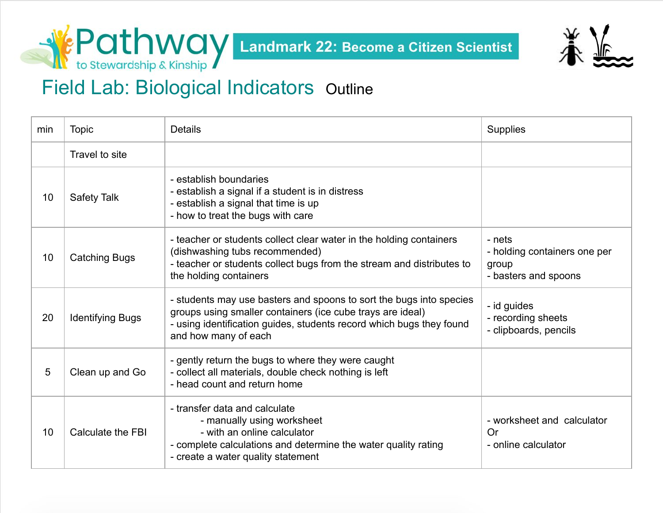



# Field Lab: Biological Indicators Outline

| min | <b>Topic</b>            | <b>Details</b>                                                                                                                                                                                                                    | <b>Supplies</b>                                                         |
|-----|-------------------------|-----------------------------------------------------------------------------------------------------------------------------------------------------------------------------------------------------------------------------------|-------------------------------------------------------------------------|
|     | Travel to site          |                                                                                                                                                                                                                                   |                                                                         |
| 10  | <b>Safety Talk</b>      | - establish boundaries<br>- establish a signal if a student is in distress<br>- establish a signal that time is up<br>- how to treat the bugs with care                                                                           |                                                                         |
| 10  | <b>Catching Bugs</b>    | - teacher or students collect clear water in the holding containers<br>(dishwashing tubs recommended)<br>- teacher or students collect bugs from the stream and distributes to<br>the holding containers                          | - nets<br>- holding containers one per<br>group<br>- basters and spoons |
| 20  | <b>Identifying Bugs</b> | - students may use basters and spoons to sort the bugs into species<br>groups using smaller containers (ice cube trays are ideal)<br>- using identification guides, students record which bugs they found<br>and how many of each | - id guides<br>- recording sheets<br>- clipboards, pencils              |
| 5   | Clean up and Go         | - gently return the bugs to where they were caught<br>- collect all materials, double check nothing is left<br>- head count and return home                                                                                       |                                                                         |
| 10  | Calculate the FBI       | - transfer data and calculate<br>- manually using worksheet<br>- with an online calculator<br>- complete calculations and determine the water quality rating<br>- create a water quality statement                                | - worksheet and calculator<br>Or<br>- online calculator                 |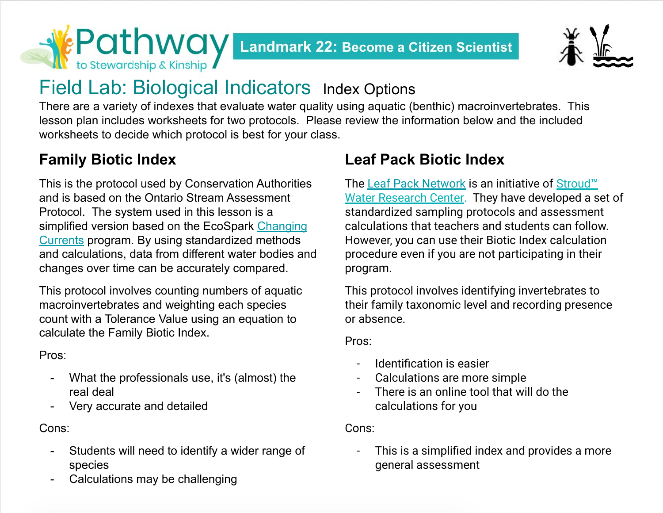



# Field Lab: Biological Indicators Index Options

There are a variety of indexes that evaluate water quality using aquatic (benthic) macroinvertebrates. This lesson plan includes worksheets for two protocols. Please review the information below and the included worksheets to decide which protocol is best for your class.

## **Family Biotic Index**

This is the protocol used by Conservation Authorities and is based on the Ontario Stream Assessment Protocol. The system used in this lesson is a simplified version based on the EcoSpark [Changing](https://www.ecospark.ca/changing-currents) [Currents](https://www.ecospark.ca/changing-currents) program. By using standardized methods and calculations, data from different water bodies and changes over time can be accurately compared.

This protocol involves counting numbers of aquatic macroinvertebrates and weighting each species count with a Tolerance Value using an equation to calculate the Family Biotic Index.

Pros:

- What the professionals use, it's (almost) the real deal
- Very accurate and detailed

Cons:

- Students will need to identify a wider range of species
- Calculations may be challenging

## **Leaf Pack Biotic Index**

The [Leaf Pack Network](https://leafpacknetwork.org/about/) is an initiative of [Stroud™](http://www.stroudcenter.org/) [Water Research Center](http://www.stroudcenter.org/). They have developed a set of standardized sampling protocols and assessment calculations that teachers and students can follow. However, you can use their Biotic Index calculation procedure even if you are not participating in their program.

This protocol involves identifying invertebrates to their family taxonomic level and recording presence or absence.

Pros:

- Identification is easier
- Calculations are more simple
- There is an online tool that will do the calculations for you

Cons:

This is a simplified index and provides a more general assessment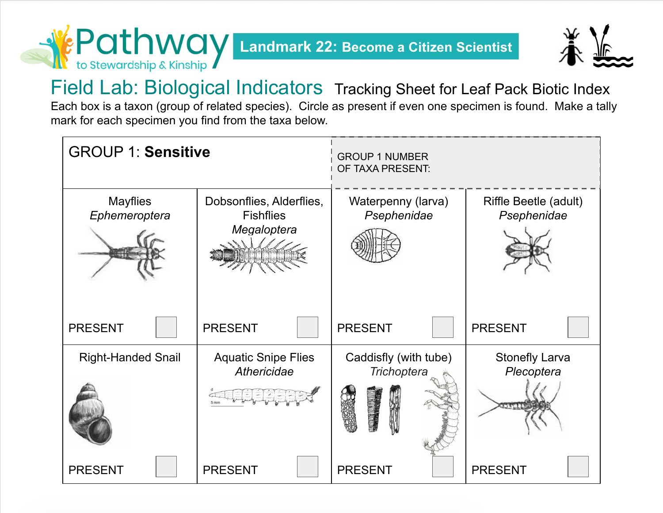**KEP OT NWOY Landmark 22: Become a Citizen Scientist** 



Field Lab: Biological Indicators Tracking Sheet for Leaf Pack Biotic Index Each box is a taxon (group of related species). Circle as present if even one specimen is found. Make a tally mark for each specimen you find from the taxa below.

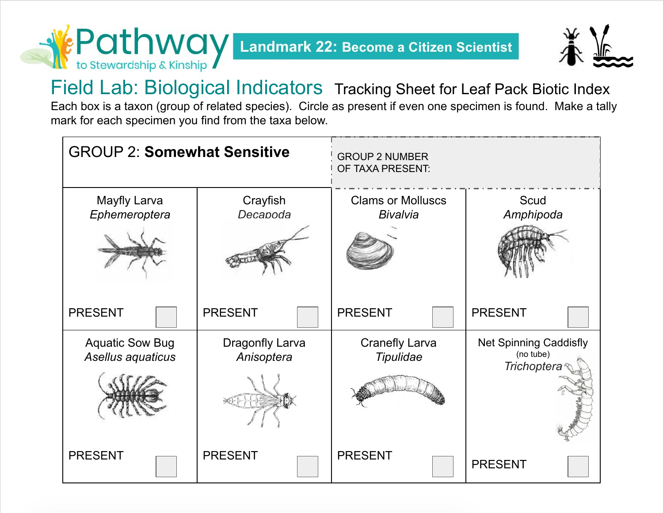**EPOTHWOY Landmark 22: Become a Citizen Scientist** 



Field Lab: Biological Indicators Tracking Sheet for Leaf Pack Biotic Index Each box is a taxon (group of related species). Circle as present if even one specimen is found. Make a tally mark for each specimen you find from the taxa below.

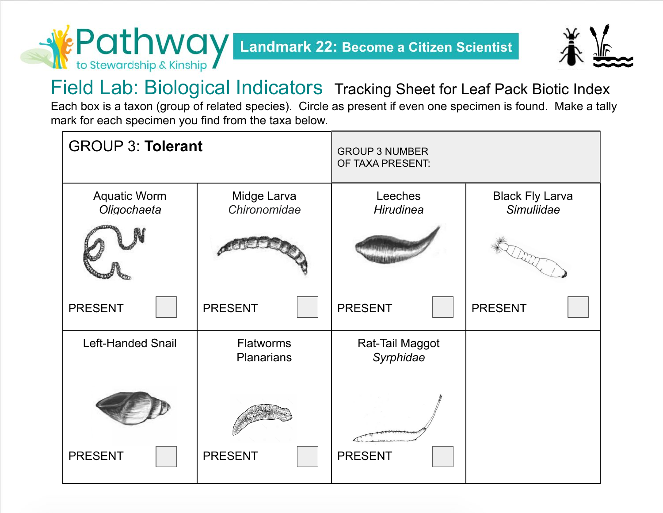**SEP OT NWOLY Landmark 22: Become a Citizen Scientist** 



Field Lab: Biological Indicators Tracking Sheet for Leaf Pack Biotic Index Each box is a taxon (group of related species). Circle as present if even one specimen is found. Make a tally mark for each specimen you find from the taxa below.

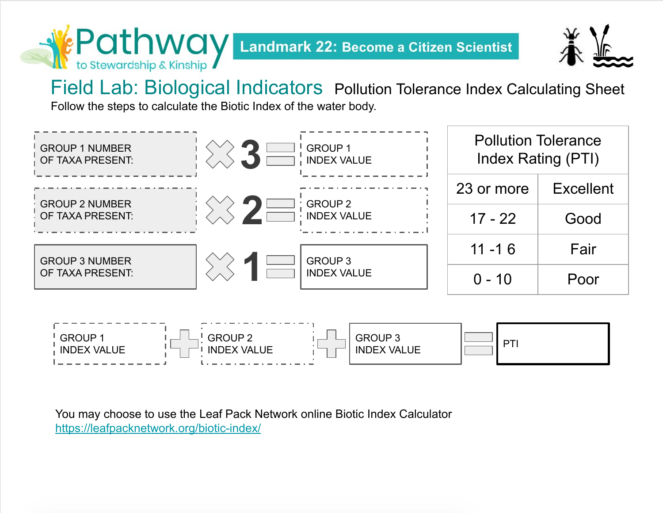Landmark 22: Become a Citizen Scientist



Field Lab: Biological Indicators Pollution Tolerance Index Calculating Sheet

Follow the steps to calculate the Biotic Index of the water body.

EPathwav

to Stewardship & Kinship



You may choose to use the Leaf Pack Network online Biotic Index Calculator <https://leafpacknetwork.org/biotic-index/>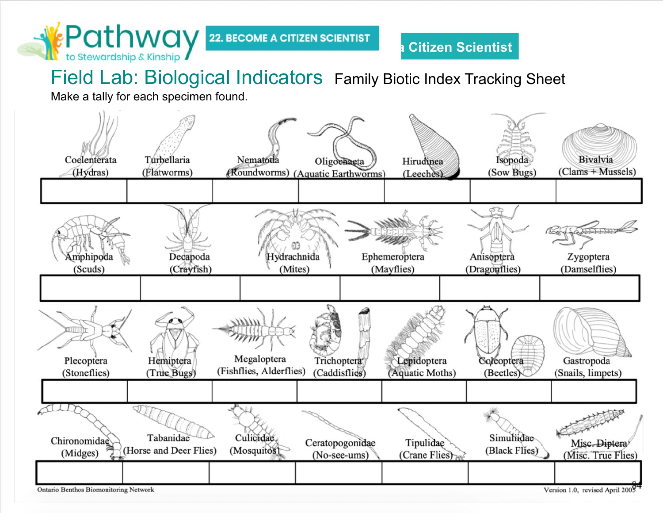

## Field Lab: Biological Indicators Family Biotic Index Tracking Sheet

Make a tally for each specimen found.



**Ontario Benthos Biomonitoring Network** 

Version 1.0, revised April 2005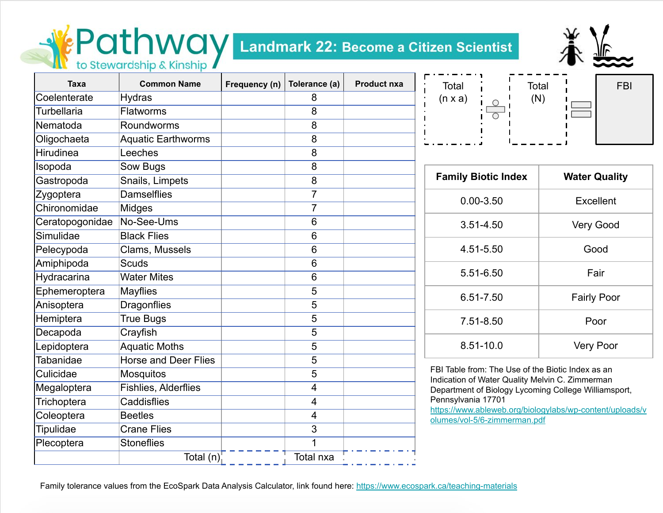# **EPathWay Landmark 22: Become a Citizen Scientist**



| Taxa               | <b>Common Name</b>          | Frequency (n) | Tolerance (a)  | <b>Product nxa</b> |
|--------------------|-----------------------------|---------------|----------------|--------------------|
| Coelenterate       | Hydras                      |               | 8              |                    |
| <b>Turbellaria</b> | <b>Flatworms</b>            |               | 8              |                    |
| Nematoda           | Roundworms                  |               | 8              |                    |
| Oligochaeta        | <b>Aquatic Earthworms</b>   |               | 8              |                    |
| <b>Hirudinea</b>   | Leeches                     |               | 8              |                    |
| Isopoda            | Sow Bugs                    |               | 8              |                    |
| Gastropoda         | Snails, Limpets             |               | 8              |                    |
| Zygoptera          | <b>Damselflies</b>          |               | $\overline{7}$ |                    |
| Chironomidae       | Midges                      |               | $\overline{7}$ |                    |
| Ceratopogonidae    | No-See-Ums                  |               | 6              |                    |
| Simulidae          | <b>Black Flies</b>          |               | 6              |                    |
| Pelecypoda         | Clams, Mussels              |               | 6              |                    |
| Amiphipoda         | <b>Scuds</b>                |               | 6              |                    |
| Hydracarina        | <b>Water Mites</b>          |               | 6              |                    |
| Ephemeroptera      | <b>Mayflies</b>             |               | 5              |                    |
| Anisoptera         | <b>Dragonflies</b>          |               | 5              |                    |
| Hemiptera          | <b>True Bugs</b>            |               | 5              |                    |
| Decapoda           | Crayfish                    |               | 5              |                    |
| Lepidoptera        | <b>Aquatic Moths</b>        |               | 5              |                    |
| Tabanidae          | <b>Horse and Deer Flies</b> |               | 5              |                    |
| Culicidae          | <b>Mosquitos</b>            |               | 5              |                    |
| Megaloptera        | <b>Fishlies, Alderflies</b> |               | 4              |                    |
| Trichoptera        | Caddisflies                 |               | 4              |                    |
| Coleoptera         | <b>Beetles</b>              |               | 4              |                    |
| <b>Tipulidae</b>   | <b>Crane Flies</b>          |               | 3              |                    |
| Plecoptera         | <b>Stoneflies</b>           |               | 1              |                    |
|                    | Total (n)                   |               | Total nxa      |                    |

| Total<br>$(n \times a)$ | $\blacksquare$<br>$\blacksquare$<br>۰<br>п. | Total |        | <b>FBI</b> |
|-------------------------|---------------------------------------------|-------|--------|------------|
|                         |                                             |       | $\sim$ |            |

| <b>Family Biotic Index</b> | <b>Water Quality</b> |
|----------------------------|----------------------|
| $0.00 - 3.50$              | <b>Excellent</b>     |
| 3.51-4.50                  | Very Good            |
| 4.51-5.50                  | Good                 |
| 5.51-6.50                  | Fair                 |
| 6.51-7.50                  | <b>Fairly Poor</b>   |
| 7.51-8.50                  | Poor                 |
| 8.51-10.0                  | Very Poor            |

FBI Table from: The Use of the Biotic Index as an Indication of Water Quality Melvin C. Zimmerman Department of Biology Lycoming College Williamsport, Pennsylvania 17701

[https://www.ableweb.org/biologylabs/wp-content/uploads/v](https://www.ableweb.org/biologylabs/wp-content/uploads/volumes/vol-5/6-zimmerman.pdf) [olumes/vol-5/6-zimmerman.pdf](https://www.ableweb.org/biologylabs/wp-content/uploads/volumes/vol-5/6-zimmerman.pdf)

Family tolerance values from the EcoSpark Data Analysis Calculator, link found here: <https://www.ecospark.ca/teaching-materials>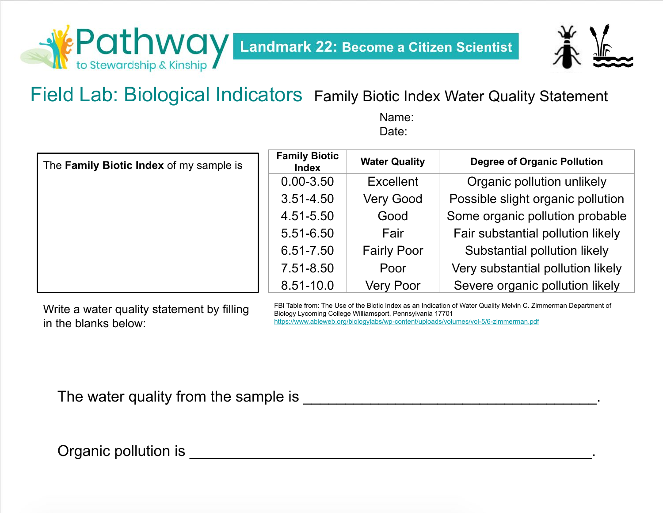



Field Lab: Biological Indicators Family Biotic Index Water Quality Statement

Name: Date:

| The Family Biotic Index of my sample is | <b>Family Biotic</b><br>Index | <b>Water Quality</b> | <b>Degree of Organic Pollution</b> |
|-----------------------------------------|-------------------------------|----------------------|------------------------------------|
|                                         | $0.00 - 3.50$                 | <b>Excellent</b>     | Organic pollution unlikely         |
|                                         | $3.51 - 4.50$                 | <b>Very Good</b>     | Possible slight organic pollution  |
|                                         | 4.51-5.50                     | Good                 | Some organic pollution probable    |
|                                         | 5.51-6.50                     | Fair                 | Fair substantial pollution likely  |
|                                         | 6.51-7.50                     | <b>Fairly Poor</b>   | Substantial pollution likely       |
|                                         | 7.51-8.50                     | Poor                 | Very substantial pollution likely  |
|                                         | $8.51 - 10.0$                 | <b>Very Poor</b>     | Severe organic pollution likely    |

Write a water quality statement by filling in the blanks below:

FBI Table from: The Use of the Biotic Index as an Indication of Water Quality Melvin C. Zimmerman Department of Biology Lycoming College Williamsport, Pennsylvania 17701 <https://www.ableweb.org/biologylabs/wp-content/uploads/volumes/vol-5/6-zimmerman.pdf>

The water quality from the sample is \_\_\_\_\_\_\_\_\_\_\_\_\_\_\_\_\_\_\_\_\_\_\_\_\_\_\_\_\_\_\_\_\_\_\_.

Organic pollution is **Exercise 20** and the set of the set of the set of the set of the set of the set of the set of the set of the set of the set of the set of the set of the set of the set of the set of the set of the set